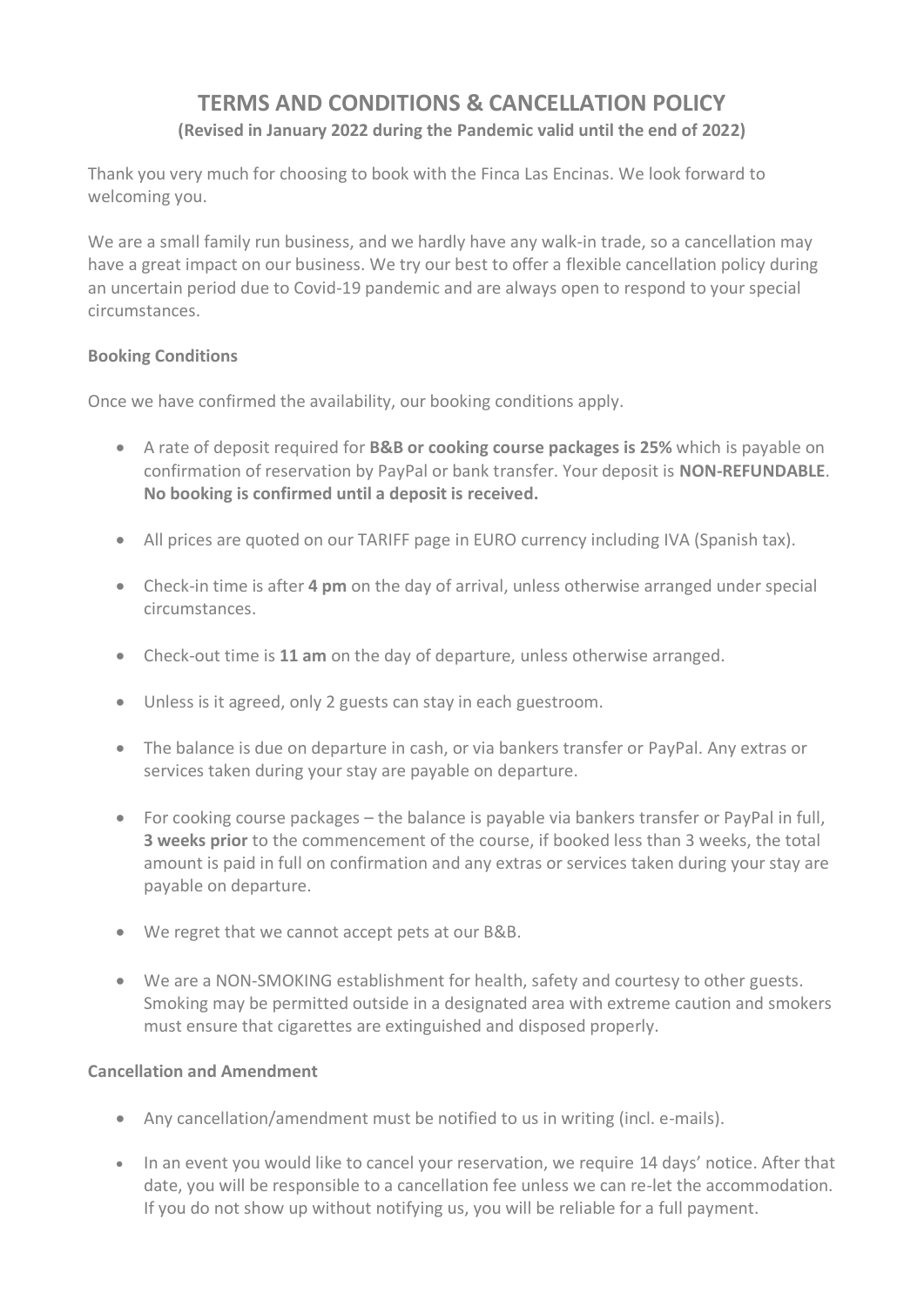# **TERMS AND CONDITIONS & CANCELLATION POLICY (Revised in January 2022 during the Pandemic valid until the end of 2022)**

Thank you very much for choosing to book with the Finca Las Encinas. We look forward to welcoming you.

We are a small family run business, and we hardly have any walk-in trade, so a cancellation may have a great impact on our business. We try our best to offer a flexible cancellation policy during an uncertain period due to Covid-19 pandemic and are always open to respond to your special circumstances.

## **Booking Conditions**

Once we have confirmed the availability, our booking conditions apply.

- A rate of deposit required for **B&B or cooking course packages is 25%** which is payable on confirmation of reservation by PayPal or bank transfer. Your deposit is **NON-REFUNDABLE**. **No booking is confirmed until a deposit is received.**
- All prices are quoted on our TARIFF page in EURO currency including IVA (Spanish tax).
- Check-in time is after **4 pm** on the day of arrival, unless otherwise arranged under special circumstances.
- Check-out time is **11 am** on the day of departure, unless otherwise arranged.
- Unless is it agreed, only 2 guests can stay in each guestroom.
- The balance is due on departure in cash, or via bankers transfer or PayPal. Any extras or services taken during your stay are payable on departure.
- For cooking course packages the balance is payable via bankers transfer or PayPal in full, **3 weeks prior** to the commencement of the course, if booked less than 3 weeks, the total amount is paid in full on confirmation and any extras or services taken during your stay are payable on departure.
- We regret that we cannot accept pets at our B&B.
- We are a NON-SMOKING establishment for health, safety and courtesy to other guests. Smoking may be permitted outside in a designated area with extreme caution and smokers must ensure that cigarettes are extinguished and disposed properly.

## **Cancellation and Amendment**

- Any cancellation/amendment must be notified to us in writing (incl. e-mails).
- In an event you would like to cancel your reservation, we require 14 days' notice. After that date, you will be responsible to a cancellation fee unless we can re-let the accommodation. If you do not show up without notifying us, you will be reliable for a full payment.